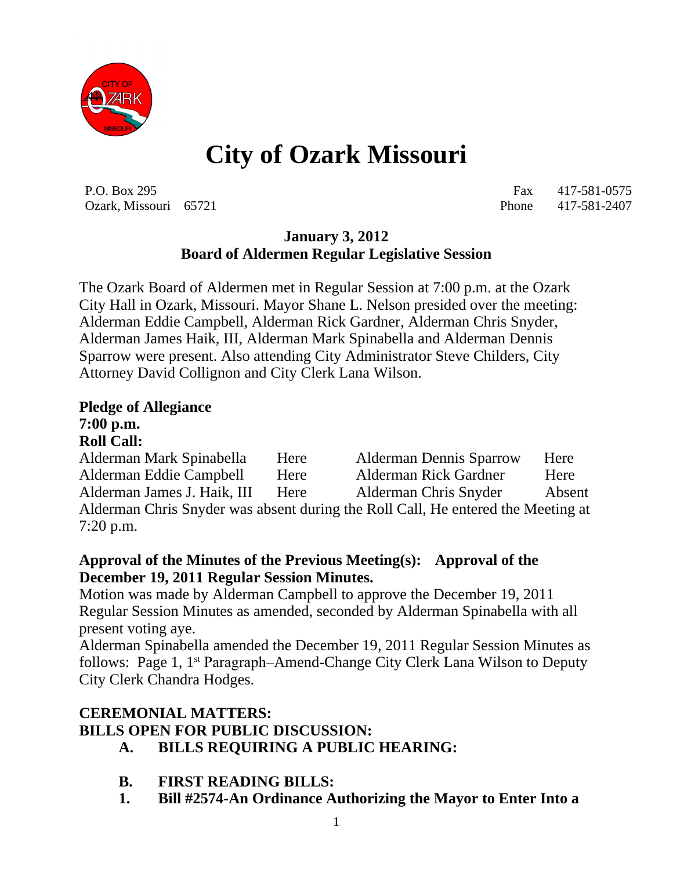

# **City of Ozark Missouri**

P.O. Box 295 Fax 417-581-0575 Ozark, Missouri 65721 Phone 417-581-2407

### **January 3, 2012 Board of Aldermen Regular Legislative Session**

The Ozark Board of Aldermen met in Regular Session at 7:00 p.m. at the Ozark City Hall in Ozark, Missouri. Mayor Shane L. Nelson presided over the meeting: Alderman Eddie Campbell, Alderman Rick Gardner, Alderman Chris Snyder, Alderman James Haik, III, Alderman Mark Spinabella and Alderman Dennis Sparrow were present. Also attending City Administrator Steve Childers, City Attorney David Collignon and City Clerk Lana Wilson.

# **Pledge of Allegiance 7:00 p.m.**

#### **Roll Call:**

Alderman Mark Spinabella Here Alderman Dennis Sparrow Here Alderman Eddie Campbell Here Alderman Rick Gardner Here Alderman James J. Haik, III Here Alderman Chris Snyder Absent Alderman Chris Snyder was absent during the Roll Call, He entered the Meeting at 7:20 p.m.

#### **Approval of the Minutes of the Previous Meeting(s): Approval of the December 19, 2011 Regular Session Minutes.**

Motion was made by Alderman Campbell to approve the December 19, 2011 Regular Session Minutes as amended, seconded by Alderman Spinabella with all present voting aye.

Alderman Spinabella amended the December 19, 2011 Regular Session Minutes as follows: Page 1, 1st Paragraph–Amend-Change City Clerk Lana Wilson to Deputy City Clerk Chandra Hodges.

# **CEREMONIAL MATTERS: BILLS OPEN FOR PUBLIC DISCUSSION:**

- **A. BILLS REQUIRING A PUBLIC HEARING:**
- **B. FIRST READING BILLS:**
- **1. Bill #2574-An Ordinance Authorizing the Mayor to Enter Into a**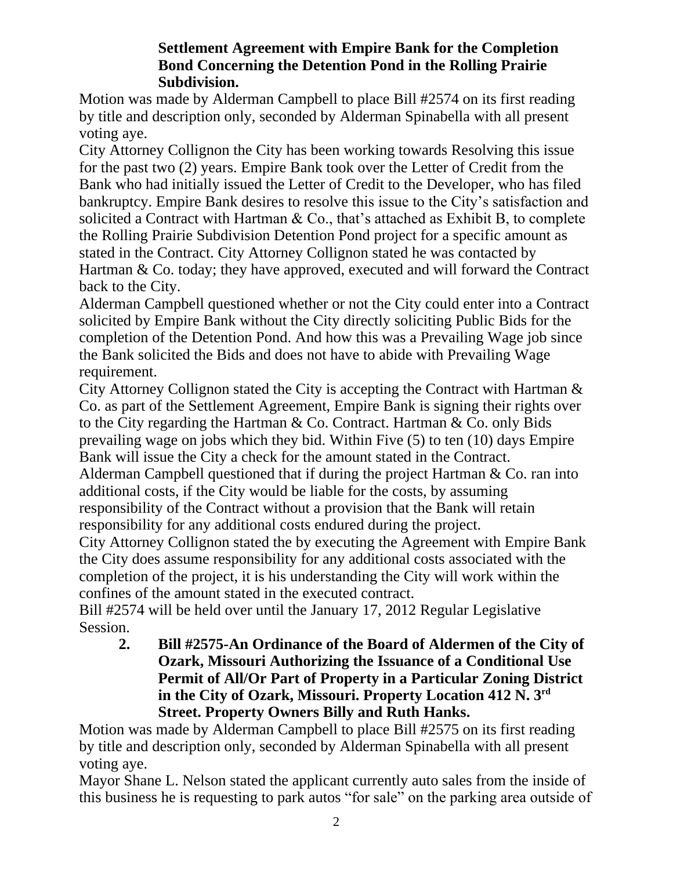#### **Settlement Agreement with Empire Bank for the Completion Bond Concerning the Detention Pond in the Rolling Prairie Subdivision.**

Motion was made by Alderman Campbell to place Bill #2574 on its first reading by title and description only, seconded by Alderman Spinabella with all present voting aye.

City Attorney Collignon the City has been working towards Resolving this issue for the past two (2) years. Empire Bank took over the Letter of Credit from the Bank who had initially issued the Letter of Credit to the Developer, who has filed bankruptcy. Empire Bank desires to resolve this issue to the City's satisfaction and solicited a Contract with Hartman & Co., that's attached as Exhibit B, to complete the Rolling Prairie Subdivision Detention Pond project for a specific amount as stated in the Contract. City Attorney Collignon stated he was contacted by Hartman & Co. today; they have approved, executed and will forward the Contract back to the City.

Alderman Campbell questioned whether or not the City could enter into a Contract solicited by Empire Bank without the City directly soliciting Public Bids for the completion of the Detention Pond. And how this was a Prevailing Wage job since the Bank solicited the Bids and does not have to abide with Prevailing Wage requirement.

City Attorney Collignon stated the City is accepting the Contract with Hartman & Co. as part of the Settlement Agreement, Empire Bank is signing their rights over to the City regarding the Hartman & Co. Contract. Hartman & Co. only Bids prevailing wage on jobs which they bid. Within Five (5) to ten (10) days Empire Bank will issue the City a check for the amount stated in the Contract. Alderman Campbell questioned that if during the project Hartman & Co. ran into additional costs, if the City would be liable for the costs, by assuming responsibility of the Contract without a provision that the Bank will retain

responsibility for any additional costs endured during the project.

City Attorney Collignon stated the by executing the Agreement with Empire Bank the City does assume responsibility for any additional costs associated with the completion of the project, it is his understanding the City will work within the confines of the amount stated in the executed contract.

Bill #2574 will be held over until the January 17, 2012 Regular Legislative Session.

**2. Bill #2575-An Ordinance of the Board of Aldermen of the City of Ozark, Missouri Authorizing the Issuance of a Conditional Use Permit of All/Or Part of Property in a Particular Zoning District in the City of Ozark, Missouri. Property Location 412 N. 3rd Street. Property Owners Billy and Ruth Hanks.**

Motion was made by Alderman Campbell to place Bill #2575 on its first reading by title and description only, seconded by Alderman Spinabella with all present voting aye.

Mayor Shane L. Nelson stated the applicant currently auto sales from the inside of this business he is requesting to park autos "for sale" on the parking area outside of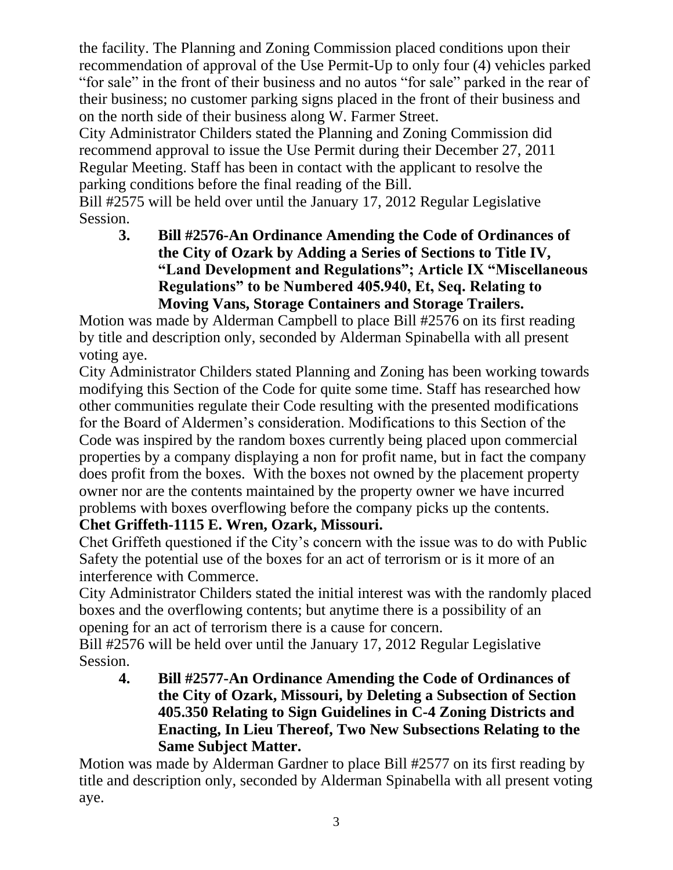the facility. The Planning and Zoning Commission placed conditions upon their recommendation of approval of the Use Permit-Up to only four (4) vehicles parked "for sale" in the front of their business and no autos "for sale" parked in the rear of their business; no customer parking signs placed in the front of their business and on the north side of their business along W. Farmer Street.

City Administrator Childers stated the Planning and Zoning Commission did recommend approval to issue the Use Permit during their December 27, 2011 Regular Meeting. Staff has been in contact with the applicant to resolve the parking conditions before the final reading of the Bill.

Bill #2575 will be held over until the January 17, 2012 Regular Legislative Session.

**3. Bill #2576-An Ordinance Amending the Code of Ordinances of the City of Ozark by Adding a Series of Sections to Title IV, "Land Development and Regulations"; Article IX "Miscellaneous Regulations" to be Numbered 405.940, Et, Seq. Relating to Moving Vans, Storage Containers and Storage Trailers.**

Motion was made by Alderman Campbell to place Bill #2576 on its first reading by title and description only, seconded by Alderman Spinabella with all present voting aye.

City Administrator Childers stated Planning and Zoning has been working towards modifying this Section of the Code for quite some time. Staff has researched how other communities regulate their Code resulting with the presented modifications for the Board of Aldermen's consideration. Modifications to this Section of the Code was inspired by the random boxes currently being placed upon commercial properties by a company displaying a non for profit name, but in fact the company does profit from the boxes. With the boxes not owned by the placement property owner nor are the contents maintained by the property owner we have incurred problems with boxes overflowing before the company picks up the contents.

**Chet Griffeth-1115 E. Wren, Ozark, Missouri.**

Chet Griffeth questioned if the City's concern with the issue was to do with Public Safety the potential use of the boxes for an act of terrorism or is it more of an interference with Commerce.

City Administrator Childers stated the initial interest was with the randomly placed boxes and the overflowing contents; but anytime there is a possibility of an opening for an act of terrorism there is a cause for concern.

Bill #2576 will be held over until the January 17, 2012 Regular Legislative Session.

**4. Bill #2577-An Ordinance Amending the Code of Ordinances of the City of Ozark, Missouri, by Deleting a Subsection of Section 405.350 Relating to Sign Guidelines in C-4 Zoning Districts and Enacting, In Lieu Thereof, Two New Subsections Relating to the Same Subject Matter.**

Motion was made by Alderman Gardner to place Bill #2577 on its first reading by title and description only, seconded by Alderman Spinabella with all present voting aye.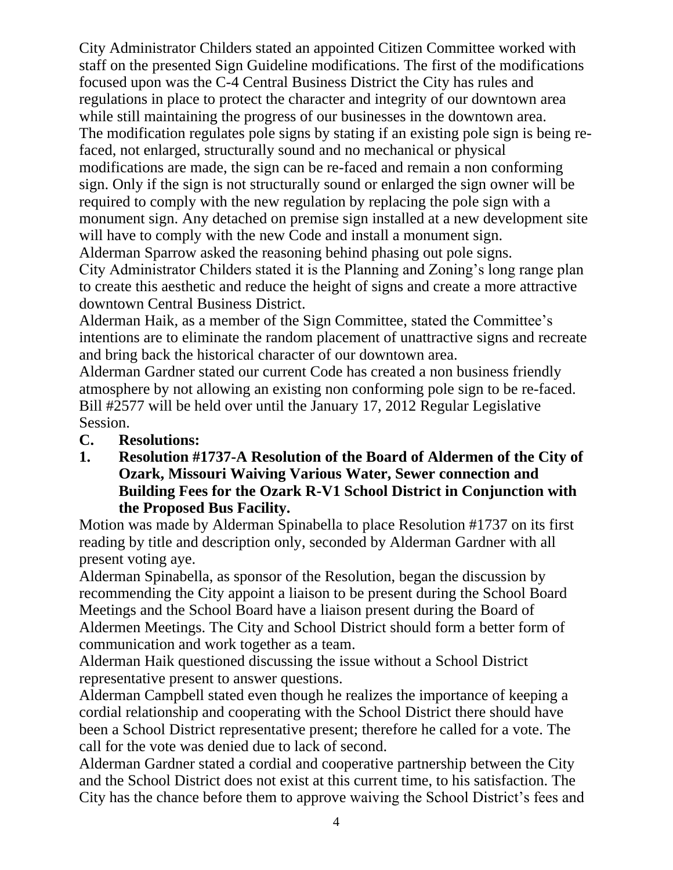City Administrator Childers stated an appointed Citizen Committee worked with staff on the presented Sign Guideline modifications. The first of the modifications focused upon was the C-4 Central Business District the City has rules and regulations in place to protect the character and integrity of our downtown area while still maintaining the progress of our businesses in the downtown area. The modification regulates pole signs by stating if an existing pole sign is being refaced, not enlarged, structurally sound and no mechanical or physical modifications are made, the sign can be re-faced and remain a non conforming sign. Only if the sign is not structurally sound or enlarged the sign owner will be required to comply with the new regulation by replacing the pole sign with a monument sign. Any detached on premise sign installed at a new development site will have to comply with the new Code and install a monument sign. Alderman Sparrow asked the reasoning behind phasing out pole signs.

City Administrator Childers stated it is the Planning and Zoning's long range plan to create this aesthetic and reduce the height of signs and create a more attractive downtown Central Business District.

Alderman Haik, as a member of the Sign Committee, stated the Committee's intentions are to eliminate the random placement of unattractive signs and recreate and bring back the historical character of our downtown area.

Alderman Gardner stated our current Code has created a non business friendly atmosphere by not allowing an existing non conforming pole sign to be re-faced. Bill #2577 will be held over until the January 17, 2012 Regular Legislative Session.

- **C. Resolutions:**
- **1. Resolution #1737-A Resolution of the Board of Aldermen of the City of Ozark, Missouri Waiving Various Water, Sewer connection and Building Fees for the Ozark R-V1 School District in Conjunction with the Proposed Bus Facility.**

Motion was made by Alderman Spinabella to place Resolution #1737 on its first reading by title and description only, seconded by Alderman Gardner with all present voting aye.

Alderman Spinabella, as sponsor of the Resolution, began the discussion by recommending the City appoint a liaison to be present during the School Board Meetings and the School Board have a liaison present during the Board of Aldermen Meetings. The City and School District should form a better form of communication and work together as a team.

Alderman Haik questioned discussing the issue without a School District representative present to answer questions.

Alderman Campbell stated even though he realizes the importance of keeping a cordial relationship and cooperating with the School District there should have been a School District representative present; therefore he called for a vote. The call for the vote was denied due to lack of second.

Alderman Gardner stated a cordial and cooperative partnership between the City and the School District does not exist at this current time, to his satisfaction. The City has the chance before them to approve waiving the School District's fees and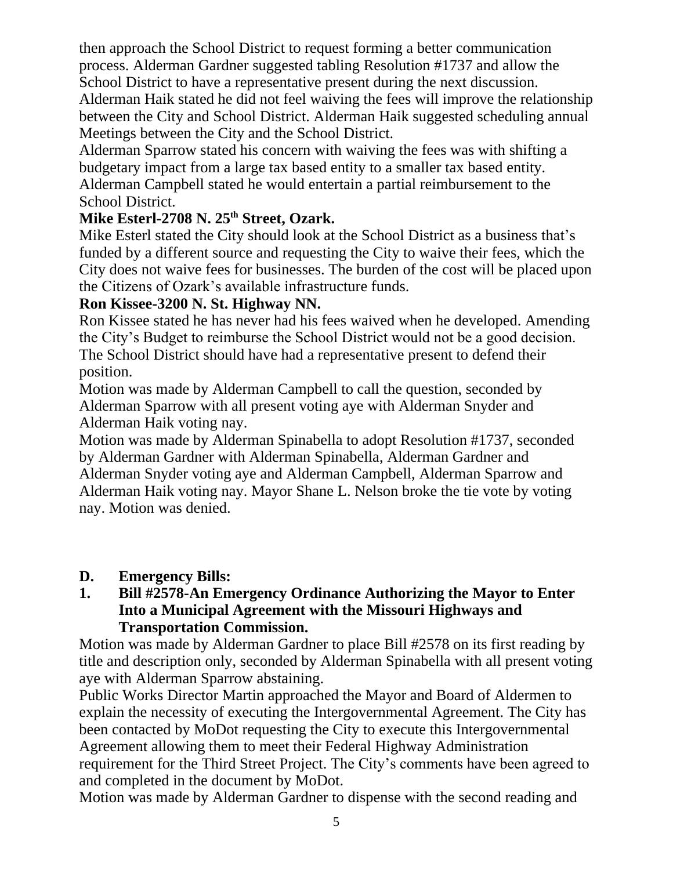then approach the School District to request forming a better communication process. Alderman Gardner suggested tabling Resolution #1737 and allow the School District to have a representative present during the next discussion.

Alderman Haik stated he did not feel waiving the fees will improve the relationship between the City and School District. Alderman Haik suggested scheduling annual Meetings between the City and the School District.

Alderman Sparrow stated his concern with waiving the fees was with shifting a budgetary impact from a large tax based entity to a smaller tax based entity. Alderman Campbell stated he would entertain a partial reimbursement to the School District.

# **Mike Esterl-2708 N. 25th Street, Ozark.**

Mike Esterl stated the City should look at the School District as a business that's funded by a different source and requesting the City to waive their fees, which the City does not waive fees for businesses. The burden of the cost will be placed upon the Citizens of Ozark's available infrastructure funds.

# **Ron Kissee-3200 N. St. Highway NN.**

Ron Kissee stated he has never had his fees waived when he developed. Amending the City's Budget to reimburse the School District would not be a good decision. The School District should have had a representative present to defend their position.

Motion was made by Alderman Campbell to call the question, seconded by Alderman Sparrow with all present voting aye with Alderman Snyder and Alderman Haik voting nay.

Motion was made by Alderman Spinabella to adopt Resolution #1737, seconded by Alderman Gardner with Alderman Spinabella, Alderman Gardner and Alderman Snyder voting aye and Alderman Campbell, Alderman Sparrow and Alderman Haik voting nay. Mayor Shane L. Nelson broke the tie vote by voting nay. Motion was denied.

#### **D. Emergency Bills:**

#### **1. Bill #2578-An Emergency Ordinance Authorizing the Mayor to Enter Into a Municipal Agreement with the Missouri Highways and Transportation Commission.**

Motion was made by Alderman Gardner to place Bill #2578 on its first reading by title and description only, seconded by Alderman Spinabella with all present voting aye with Alderman Sparrow abstaining.

Public Works Director Martin approached the Mayor and Board of Aldermen to explain the necessity of executing the Intergovernmental Agreement. The City has been contacted by MoDot requesting the City to execute this Intergovernmental Agreement allowing them to meet their Federal Highway Administration requirement for the Third Street Project. The City's comments have been agreed to and completed in the document by MoDot.

Motion was made by Alderman Gardner to dispense with the second reading and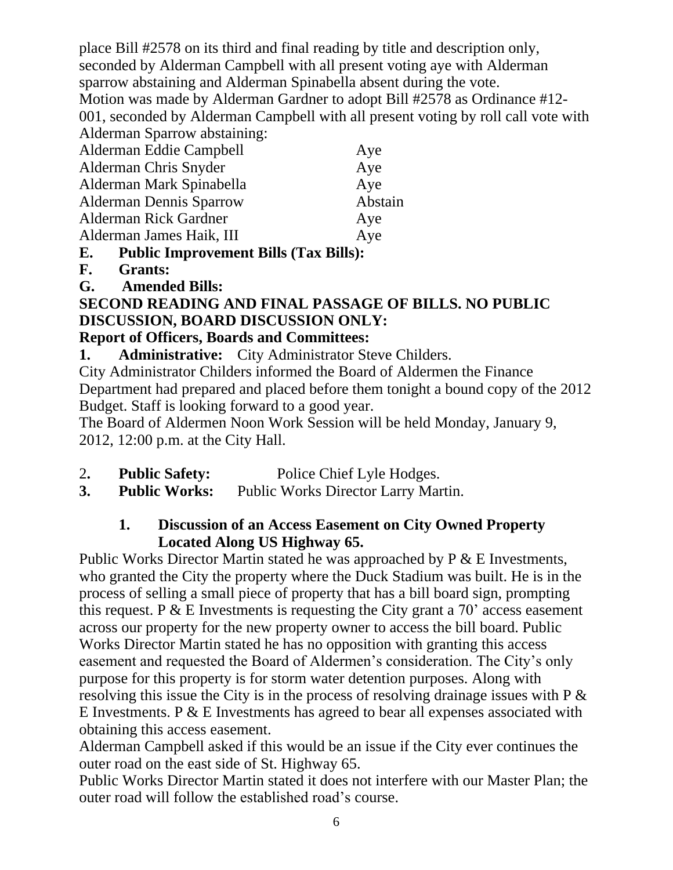place Bill #2578 on its third and final reading by title and description only, seconded by Alderman Campbell with all present voting aye with Alderman sparrow abstaining and Alderman Spinabella absent during the vote. Motion was made by Alderman Gardner to adopt Bill #2578 as Ordinance #12- 001, seconded by Alderman Campbell with all present voting by roll call vote with Alderman Sparrow abstaining: Alderman Eddie Campbell **Aye** 

| Alderman Chris Snyder          | Aye     |
|--------------------------------|---------|
| Alderman Mark Spinabella       | Aye     |
| <b>Alderman Dennis Sparrow</b> | Abstain |
| <b>Alderman Rick Gardner</b>   | Aye     |
| Alderman James Haik, III       | Aye     |
|                                |         |

- **E. Public Improvement Bills (Tax Bills):**
- **F. Grants:**
- **G. Amended Bills:**

# **SECOND READING AND FINAL PASSAGE OF BILLS. NO PUBLIC DISCUSSION, BOARD DISCUSSION ONLY:**

# **Report of Officers, Boards and Committees:**

**1. Administrative:** City Administrator Steve Childers.

City Administrator Childers informed the Board of Aldermen the Finance Department had prepared and placed before them tonight a bound copy of the 2012 Budget. Staff is looking forward to a good year.

The Board of Aldermen Noon Work Session will be held Monday, January 9, 2012, 12:00 p.m. at the City Hall.

- 2**. Public Safety:** Police Chief Lyle Hodges.
- **3. Public Works:** Public Works Director Larry Martin.

#### **1. Discussion of an Access Easement on City Owned Property Located Along US Highway 65.**

Public Works Director Martin stated he was approached by P & E Investments, who granted the City the property where the Duck Stadium was built. He is in the process of selling a small piece of property that has a bill board sign, prompting this request. P  $&\&$  E Investments is requesting the City grant a 70<sup>'</sup> access easement across our property for the new property owner to access the bill board. Public Works Director Martin stated he has no opposition with granting this access easement and requested the Board of Aldermen's consideration. The City's only purpose for this property is for storm water detention purposes. Along with resolving this issue the City is in the process of resolving drainage issues with  $P \&$ E Investments. P  $&$  E Investments has agreed to bear all expenses associated with obtaining this access easement.

Alderman Campbell asked if this would be an issue if the City ever continues the outer road on the east side of St. Highway 65.

Public Works Director Martin stated it does not interfere with our Master Plan; the outer road will follow the established road's course.